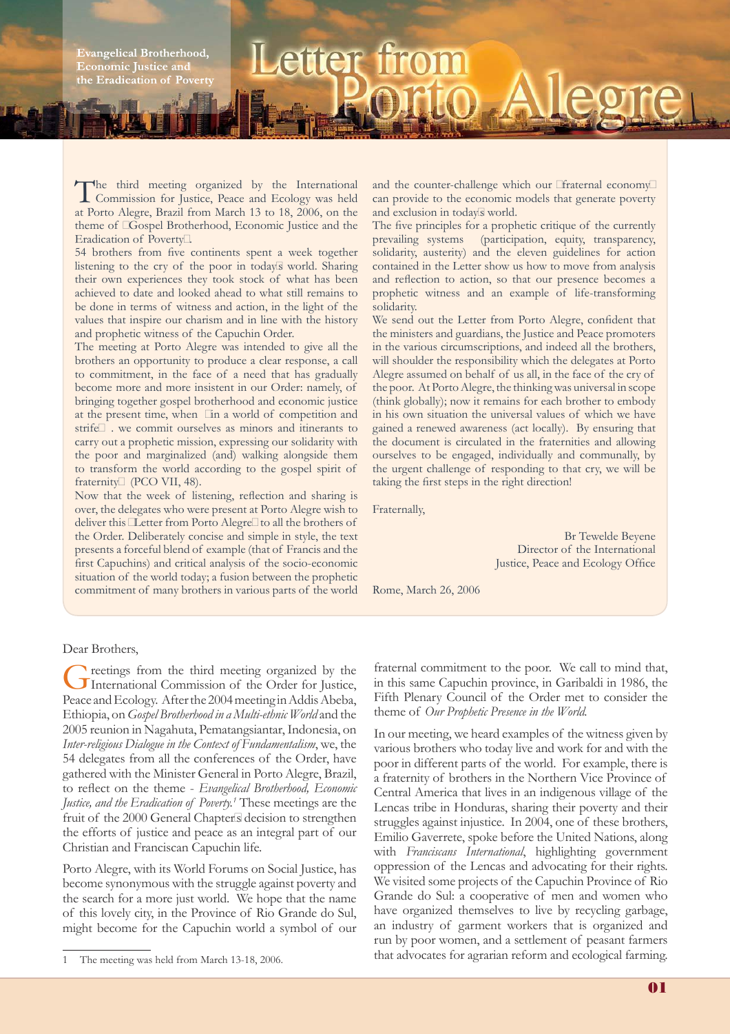**Evangelical Brotherhood, Economic Justice and** the Eradication of Poverty

## The third meeting organized by the International Commission for Justice, Peace and Ecology was held at Porto Alegre, Brazil from March 13 to 18, 2006, on the theme of "Gospel Brotherhood, Economic Justice and the Eradication of Poverty".

**Letter** 

54 brothers from five continents spent a week together listening to the cry of the poor in today's world. Sharing their own experiences they took stock of what has been achieved to date and looked ahead to what still remains to be done in terms of witness and action, in the light of the values that inspire our charism and in line with the history and prophetic witness of the Capuchin Order.

The meeting at Porto Alegre was intended to give all the brothers an opportunity to produce a clear response, a call to commitment, in the face of a need that has gradually become more and more insistent in our Order: namely, of bringing together gospel brotherhood and economic justice at the present time, when "in a world of competition and strife…. we commit ourselves as minors and itinerants to carry out a prophetic mission, expressing our solidarity with the poor and marginalized (and) walking alongside them to transform the world according to the gospel spirit of fraternity" (PCO VII, 48).

Now that the week of listening, reflection and sharing is over, the delegates who were present at Porto Alegre wish to deliver this "Letter from Porto Alegre" to all the brothers of the Order. Deliberately concise and simple in style, the text presents a forceful blend of example (that of Francis and the first Capuchins) and critical analysis of the socio-economic situation of the world today; a fusion between the prophetic commitment of many brothers in various parts of the world and the counter-challenge which our "fraternal economy" can provide to the economic models that generate poverty and exclusion in today's world.

The five principles for a prophetic critique of the currently prevailing systems (participation, equity, transparency, solidarity, austerity) and the eleven guidelines for action contained in the Letter show us how to move from analysis and reflection to action, so that our presence becomes a prophetic witness and an example of life-transforming solidarity.

We send out the Letter from Porto Alegre, confident that the ministers and guardians, the Justice and Peace promoters in the various circumscriptions, and indeed all the brothers, will shoulder the responsibility which the delegates at Porto Alegre assumed on behalf of us all, in the face of the cry of the poor. At Porto Alegre, the thinking was universal in scope (think globally); now it remains for each brother to embody in his own situation the universal values of which we have gained a renewed awareness (act locally). By ensuring that the document is circulated in the fraternities and allowing ourselves to be engaged, individually and communally, by the urgent challenge of responding to that cry, we will be taking the first steps in the right direction!

Fraternally,

Br Tewelde Beyene Director of the International Justice, Peace and Ecology Office

Rome, March 26, 2006

## Dear Brothers,

Greetings from the third meeting organized by the International Commission of the Order for Justice, Peace and Ecology. After the 2004 meeting in Addis Abeba, Ethiopia, on *Gospel Brotherhood in a Multi-ethnic World* and the 2005 reunion in Nagahuta, Pematangsiantar, Indonesia, on *Inter-religious Dialogue in the Context of Fundamentalism*, we, the 54 delegates from all the conferences of the Order, have gathered with the Minister General in Porto Alegre, Brazil, to reflect on the theme - *Evangelical Brotherhood*, *Economic Justice, and the Eradication of Poverty.1* These meetings are the fruit of the 2000 General Chapter's decision to strengthen the efforts of justice and peace as an integral part of our Christian and Franciscan Capuchin life.

Porto Alegre, with its World Forums on Social Justice, has become synonymous with the struggle against poverty and the search for a more just world. We hope that the name of this lovely city, in the Province of Rio Grande do Sul, might become for the Capuchin world a symbol of our fraternal commitment to the poor. We call to mind that, in this same Capuchin province, in Garibaldi in 1986, the Fifth Plenary Council of the Order met to consider the theme of *Our Prophetic Presence in the World.*

In our meeting, we heard examples of the witness given by various brothers who today live and work for and with the poor in different parts of the world. For example, there is a fraternity of brothers in the Northern Vice Province of Central America that lives in an indigenous village of the Lencas tribe in Honduras, sharing their poverty and their struggles against injustice. In 2004, one of these brothers, Emilio Gaverrete, spoke before the United Nations, along with *Franciscans International*, highlighting government oppression of the Lencas and advocating for their rights. We visited some projects of the Capuchin Province of Rio Grande do Sul: a cooperative of men and women who have organized themselves to live by recycling garbage, an industry of garment workers that is organized and run by poor women, and a settlement of peasant farmers that advocates for agrarian reform and ecological farming.

<sup>1</sup> The meeting was held from March 13-18, 2006.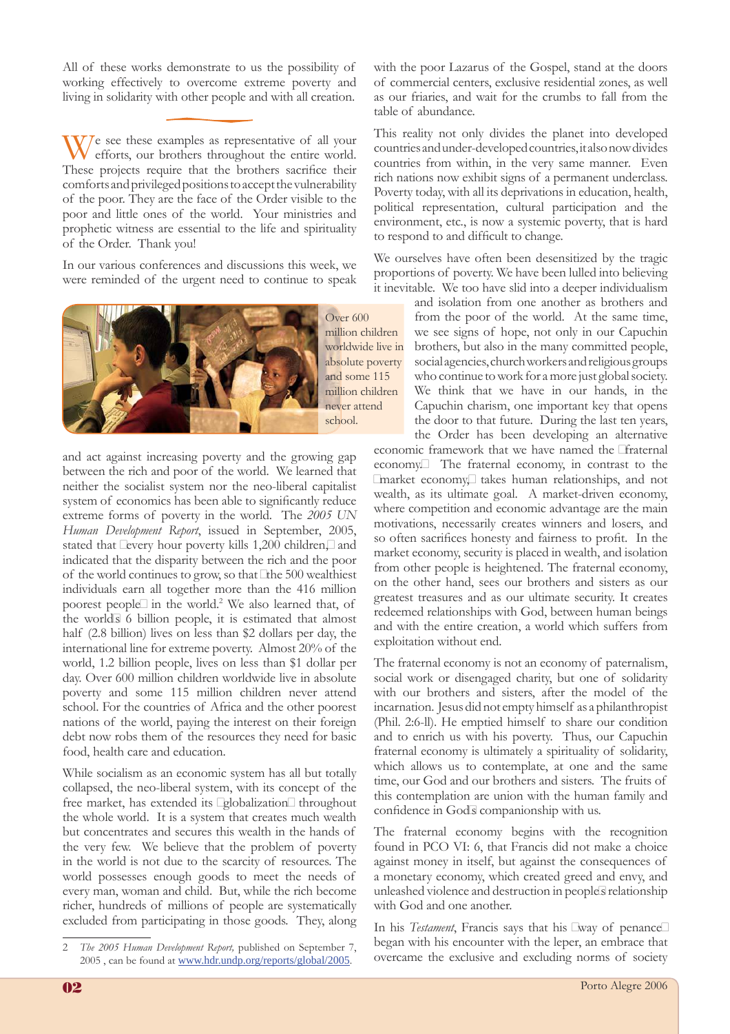All of these works demonstrate to us the possibility of working effectively to overcome extreme poverty and living in solidarity with other people and with all creation.

 $\sqrt{\frac{1}{\text{eff}}\cos\theta}$  ese these examples as representative of all your efforts, our brothers throughout the entire world. These projects require that the brothers sacrifice their comforts and privileged positions to accept the vulnerability of the poor. They are the face of the Order visible to the poor and little ones of the world. Your ministries and prophetic witness are essential to the life and spirituality of the Order. Thank you!

In our various conferences and discussions this week, we were reminded of the urgent need to continue to speak



Over 600 million children worldwide live in absolute poverty and some 115 million children never attend school.

and act against increasing poverty and the growing gap between the rich and poor of the world. We learned that neither the socialist system nor the neo-liberal capitalist system of economics has been able to significantly reduce extreme forms of poverty in the world. The *2005 UN Human Development Report*, issued in September, 2005, stated that "every hour poverty kills 1,200 children," and indicated that the disparity between the rich and the poor of the world continues to grow, so that "the 500 wealthiest individuals earn all together more than the 416 million poorest people" in the world.<sup>2</sup> We also learned that, of the world's 6 billion people, it is estimated that almost half (2.8 billion) lives on less than \$2 dollars per day, the international line for extreme poverty. Almost 20% of the world, 1.2 billion people, lives on less than \$1 dollar per day. Over 600 million children worldwide live in absolute poverty and some 115 million children never attend school. For the countries of Africa and the other poorest nations of the world, paying the interest on their foreign debt now robs them of the resources they need for basic food, health care and education.

While socialism as an economic system has all but totally collapsed, the neo-liberal system, with its concept of the free market, has extended its "globalization" throughout the whole world. It is a system that creates much wealth but concentrates and secures this wealth in the hands of the very few. We believe that the problem of poverty in the world is not due to the scarcity of resources. The world possesses enough goods to meet the needs of every man, woman and child. But, while the rich become richer, hundreds of millions of people are systematically excluded from participating in those goods. They, along

with the poor Lazarus of the Gospel, stand at the doors of commercial centers, exclusive residential zones, as well as our friaries, and wait for the crumbs to fall from the table of abundance.

This reality not only divides the planet into developed countries and under-developed countries, it also now divides countries from within, in the very same manner. Even rich nations now exhibit signs of a permanent underclass. Poverty today, with all its deprivations in education, health, political representation, cultural participation and the environment, etc., is now a systemic poverty, that is hard to respond to and difficult to change.

We ourselves have often been desensitized by the tragic proportions of poverty. We have been lulled into believing it inevitable. We too have slid into a deeper individualism

and isolation from one another as brothers and from the poor of the world. At the same time, we see signs of hope, not only in our Capuchin brothers, but also in the many committed people, social agencies, church workers and religious groups who continue to work for a more just global society. We think that we have in our hands, in the Capuchin charism, one important key that opens the door to that future. During the last ten years, the Order has been developing an alternative

economic framework that we have named the "fraternal economy." The fraternal economy, in contrast to the "market economy," takes human relationships, and not wealth, as its ultimate goal. A market-driven economy, where competition and economic advantage are the main motivations, necessarily creates winners and losers, and so often sacrifices honesty and fairness to profit. In the market economy, security is placed in wealth, and isolation from other people is heightened. The fraternal economy, on the other hand, sees our brothers and sisters as our greatest treasures and as our ultimate security. It creates redeemed relationships with God, between human beings and with the entire creation, a world which suffers from exploitation without end.

The fraternal economy is not an economy of paternalism, social work or disengaged charity, but one of solidarity with our brothers and sisters, after the model of the incarnation. Jesus did not empty himself as a philanthropist (Phil. 2:6-ll). He emptied himself to share our condition and to enrich us with his poverty. Thus, our Capuchin fraternal economy is ultimately a spirituality of solidarity, which allows us to contemplate, at one and the same time, our God and our brothers and sisters. The fruits of this contemplation are union with the human family and confidence in God's companionship with us.

The fraternal economy begins with the recognition found in PCO VI: 6, that Francis did not make a choice against money in itself, but against the consequences of a monetary economy, which created greed and envy, and unleashed violence and destruction in people's relationship with God and one another.

In his *Testament*, Francis says that his "way of penance" began with his encounter with the leper, an embrace that overcame the exclusive and excluding norms of society

<sup>2</sup> *The 2005 Human Development Report,* published on September 7, 2005 , can be found at www.hdr.undp.org/reports/global/2005.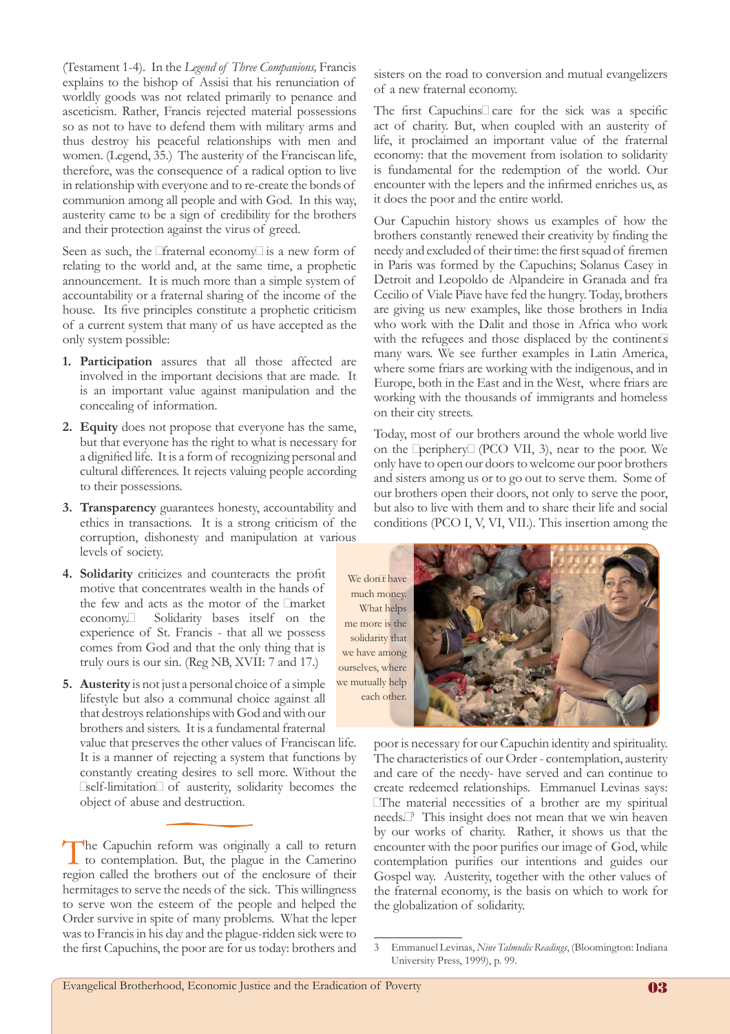(Testament 1-4). In the *Legend of Three Companions,* Francis explains to the bishop of Assisi that his renunciation of worldly goods was not related primarily to penance and asceticism. Rather, Francis rejected material possessions so as not to have to defend them with military arms and thus destroy his peaceful relationships with men and women. (Legend, 35.) The austerity of the Franciscan life, therefore, was the consequence of a radical option to live in relationship with everyone and to re-create the bonds of communion among all people and with God. In this way, austerity came to be a sign of credibility for the brothers and their protection against the virus of greed.

Seen as such, the "fraternal economy" is a new form of relating to the world and, at the same time, a prophetic announcement. It is much more than a simple system of accountability or a fraternal sharing of the income of the house. Its five principles constitute a prophetic criticism of a current system that many of us have accepted as the only system possible:

- **Participation** assures that all those affected are **1.** involved in the important decisions that are made. It is an important value against manipulation and the concealing of information.
- **Equity** does not propose that everyone has the same, **2.** but that everyone has the right to what is necessary for a dignified life. It is a form of recognizing personal and cultural differences. It rejects valuing people according to their possessions.
- **Transparency** guarantees honesty, accountability and **3.** ethics in transactions. It is a strong criticism of the corruption, dishonesty and manipulation at various levels of society.
- 4. Solidarity criticizes and counteracts the profit motive that concentrates wealth in the hands of the few and acts as the motor of the "market economy." Solidarity bases itself on the experience of St. Francis - that all we possess comes from God and that the only thing that is truly ours is our sin. (Reg NB, XVII: 7 and 17.)

**Austerity** is not just a personal choice of a simple **5.** lifestyle but also a communal choice against all that destroys relationships with God and with our brothers and sisters. It is a fundamental fraternal value that preserves the other values of Franciscan life. It is a manner of rejecting a system that functions by

constantly creating desires to sell more. Without the "self-limitation" of austerity, solidarity becomes the object of abuse and destruction.

The Capuchin reform was originally a call to return to contemplation. But, the plague in the Camerino region called the brothers out of the enclosure of their hermitages to serve the needs of the sick. This willingness to serve won the esteem of the people and helped the Order survive in spite of many problems. What the leper was to Francis in his day and the plague-ridden sick were to the first Capuchins, the poor are for us today: brothers and

sisters on the road to conversion and mutual evangelizers of a new fraternal economy.

The first Capuchins' care for the sick was a specific act of charity. But, when coupled with an austerity of life, it proclaimed an important value of the fraternal economy: that the movement from isolation to solidarity is fundamental for the redemption of the world. Our encounter with the lepers and the infirmed enriches us, as it does the poor and the entire world.

Our Capuchin history shows us examples of how the brothers constantly renewed their creativity by finding the needy and excluded of their time: the first squad of firemen in Paris was formed by the Capuchins; Solanus Casey in Detroit and Leopoldo de Alpandeire in Granada and fra Cecilio of Viale Piave have fed the hungry. Today, brothers are giving us new examples, like those brothers in India who work with the Dalit and those in Africa who work with the refugees and those displaced by the continent's many wars. We see further examples in Latin America, where some friars are working with the indigenous, and in Europe, both in the East and in the West, where friars are working with the thousands of immigrants and homeless on their city streets.

Today, most of our brothers around the whole world live on the "periphery" (PCO VII, 3), near to the poor. We only have to open our doors to welcome our poor brothers and sisters among us or to go out to serve them. Some of our brothers open their doors, not only to serve the poor, but also to live with them and to share their life and social conditions (PCO I, V, VI, VII.). This insertion among the

We don't have much money. What helps me more is the solidarity that we have among ourselves, where we mutually help each other.



poor is necessary for our Capuchin identity and spirituality. The characteristics of our Order - contemplation, austerity and care of the needy- have served and can continue to create redeemed relationships. Emmanuel Levinas says: "The material necessities of a brother are my spiritual needs."3 This insight does not mean that we win heaven by our works of charity. Rather, it shows us that the encounter with the poor purifies our image of God, while contemplation purifies our intentions and guides our Gospel way. Austerity, together with the other values of the fraternal economy, is the basis on which to work for the globalization of solidarity.

<sup>3</sup> Emmanuel Levinas, *Nine Talmudic Readings*, (Bloomington: Indiana University Press, 1999), p. 99.